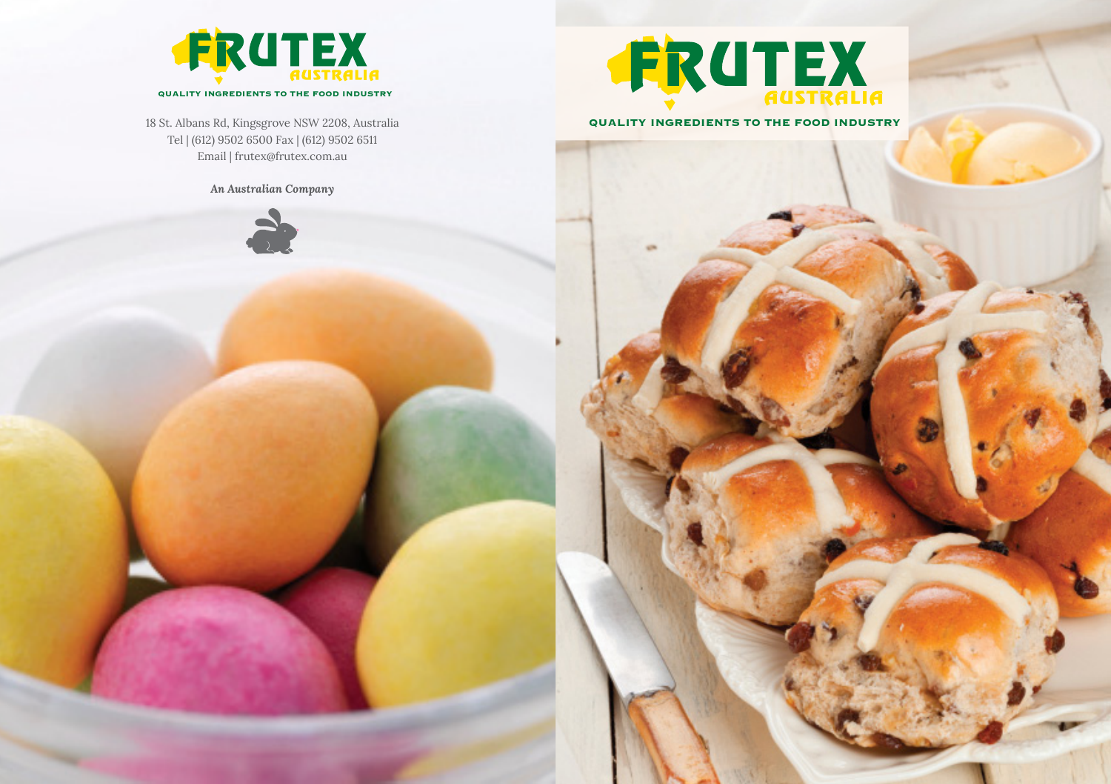

18 St. Albans Rd, Kingsgrove NSW 2208, Australia Tel | (612) 9502 6500 Fax | (612) 9502 6511 Email | frutex@frutex.com.au

*An Australian Company* 





**QUALITY INGREDIENTS TO THE FOOD INDUSTRY**